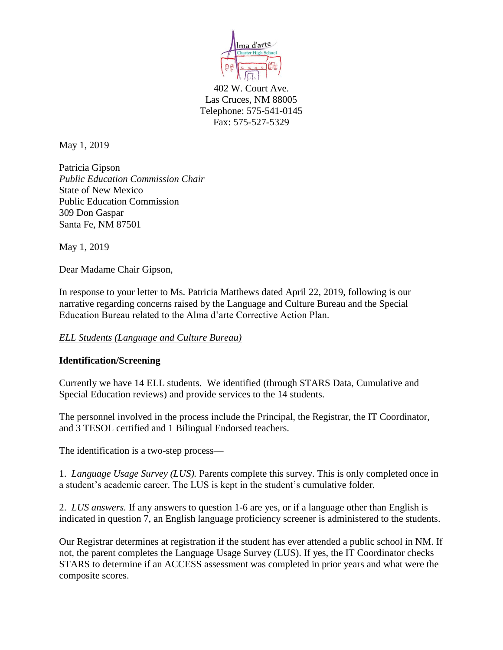

402 W. Court Ave. Las Cruces, NM 88005 Telephone: 575-541-0145 Fax: 575-527-5329

May 1, 2019

Patricia Gipson *Public Education Commission Chair* State of New Mexico Public Education Commission 309 Don Gaspar Santa Fe, NM 87501

May 1, 2019

Dear Madame Chair Gipson,

In response to your letter to Ms. Patricia Matthews dated April 22, 2019, following is our narrative regarding concerns raised by the Language and Culture Bureau and the Special Education Bureau related to the Alma d'arte Corrective Action Plan.

## *ELL Students (Language and Culture Bureau)*

## **Identification/Screening**

Currently we have 14 ELL students. We identified (through STARS Data, Cumulative and Special Education reviews) and provide services to the 14 students.

The personnel involved in the process include the Principal, the Registrar, the IT Coordinator, and 3 TESOL certified and 1 Bilingual Endorsed teachers.

The identification is a two-step process—

1. *Language Usage Survey (LUS).* Parents complete this survey. This is only completed once in a student's academic career. The LUS is kept in the student's cumulative folder.

2. *LUS answers.* If any answers to question 1-6 are yes, or if a language other than English is indicated in question 7, an English language proficiency screener is administered to the students.

Our Registrar determines at registration if the student has ever attended a public school in NM. If not, the parent completes the Language Usage Survey (LUS). If yes, the IT Coordinator checks STARS to determine if an ACCESS assessment was completed in prior years and what were the composite scores.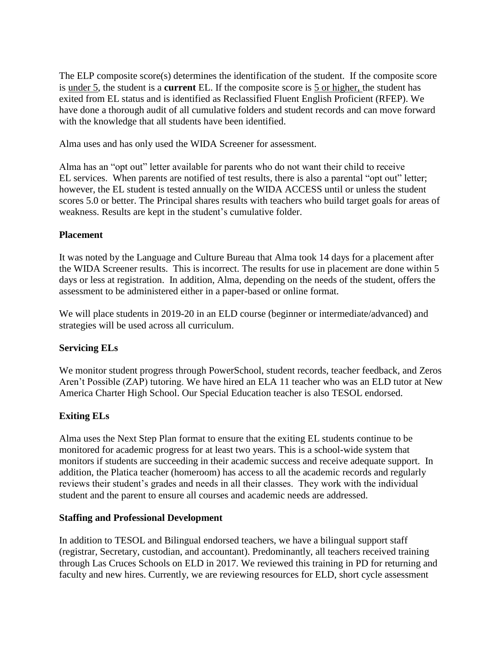The ELP composite score(s) determines the identification of the student. If the composite score is under 5, the student is a **current** EL. If the composite score is 5 or higher, the student has exited from EL status and is identified as Reclassified Fluent English Proficient (RFEP). We have done a thorough audit of all cumulative folders and student records and can move forward with the knowledge that all students have been identified.

Alma uses and has only used the WIDA Screener for assessment.

Alma has an "opt out" letter available for parents who do not want their child to receive EL services. When parents are notified of test results, there is also a parental "opt out" letter; however, the EL student is tested annually on the WIDA ACCESS until or unless the student scores 5.0 or better. The Principal shares results with teachers who build target goals for areas of weakness. Results are kept in the student's cumulative folder.

## **Placement**

It was noted by the Language and Culture Bureau that Alma took 14 days for a placement after the WIDA Screener results. This is incorrect. The results for use in placement are done within 5 days or less at registration. In addition, Alma, depending on the needs of the student, offers the assessment to be administered either in a paper-based or online format.

We will place students in 2019-20 in an ELD course (beginner or intermediate/advanced) and strategies will be used across all curriculum.

# **Servicing ELs**

We monitor student progress through PowerSchool, student records, teacher feedback, and Zeros Aren't Possible (ZAP) tutoring. We have hired an ELA 11 teacher who was an ELD tutor at New America Charter High School. Our Special Education teacher is also TESOL endorsed.

# **Exiting ELs**

Alma uses the Next Step Plan format to ensure that the exiting EL students continue to be monitored for academic progress for at least two years. This is a school-wide system that monitors if students are succeeding in their academic success and receive adequate support. In addition, the Platica teacher (homeroom) has access to all the academic records and regularly reviews their student's grades and needs in all their classes. They work with the individual student and the parent to ensure all courses and academic needs are addressed.

## **Staffing and Professional Development**

In addition to TESOL and Bilingual endorsed teachers, we have a bilingual support staff (registrar, Secretary, custodian, and accountant). Predominantly, all teachers received training through Las Cruces Schools on ELD in 2017. We reviewed this training in PD for returning and faculty and new hires. Currently, we are reviewing resources for ELD, short cycle assessment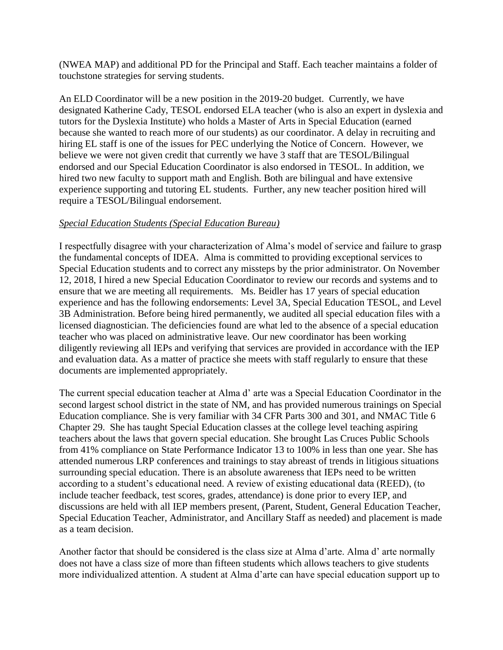(NWEA MAP) and additional PD for the Principal and Staff. Each teacher maintains a folder of touchstone strategies for serving students.

An ELD Coordinator will be a new position in the 2019-20 budget. Currently, we have designated Katherine Cady, TESOL endorsed ELA teacher (who is also an expert in dyslexia and tutors for the Dyslexia Institute) who holds a Master of Arts in Special Education (earned because she wanted to reach more of our students) as our coordinator. A delay in recruiting and hiring EL staff is one of the issues for PEC underlying the Notice of Concern. However, we believe we were not given credit that currently we have 3 staff that are TESOL/Bilingual endorsed and our Special Education Coordinator is also endorsed in TESOL. In addition, we hired two new faculty to support math and English. Both are bilingual and have extensive experience supporting and tutoring EL students. Further, any new teacher position hired will require a TESOL/Bilingual endorsement.

## *Special Education Students (Special Education Bureau)*

I respectfully disagree with your characterization of Alma's model of service and failure to grasp the fundamental concepts of IDEA. Alma is committed to providing exceptional services to Special Education students and to correct any missteps by the prior administrator. On November 12, 2018, I hired a new Special Education Coordinator to review our records and systems and to ensure that we are meeting all requirements. Ms. Beidler has 17 years of special education experience and has the following endorsements: Level 3A, Special Education TESOL, and Level 3B Administration. Before being hired permanently, we audited all special education files with a licensed diagnostician. The deficiencies found are what led to the absence of a special education teacher who was placed on administrative leave. Our new coordinator has been working diligently reviewing all IEPs and verifying that services are provided in accordance with the IEP and evaluation data. As a matter of practice she meets with staff regularly to ensure that these documents are implemented appropriately.

The current special education teacher at Alma d' arte was a Special Education Coordinator in the second largest school district in the state of NM, and has provided numerous trainings on Special Education compliance. She is very familiar with 34 CFR Parts 300 and 301, and NMAC Title 6 Chapter 29. She has taught Special Education classes at the college level teaching aspiring teachers about the laws that govern special education. She brought Las Cruces Public Schools from 41% compliance on State Performance Indicator 13 to 100% in less than one year. She has attended numerous LRP conferences and trainings to stay abreast of trends in litigious situations surrounding special education. There is an absolute awareness that IEPs need to be written according to a student's educational need. A review of existing educational data (REED), (to include teacher feedback, test scores, grades, attendance) is done prior to every IEP, and discussions are held with all IEP members present, (Parent, Student, General Education Teacher, Special Education Teacher, Administrator, and Ancillary Staff as needed) and placement is made as a team decision.

Another factor that should be considered is the class size at Alma d'arte. Alma d' arte normally does not have a class size of more than fifteen students which allows teachers to give students more individualized attention. A student at Alma d'arte can have special education support up to